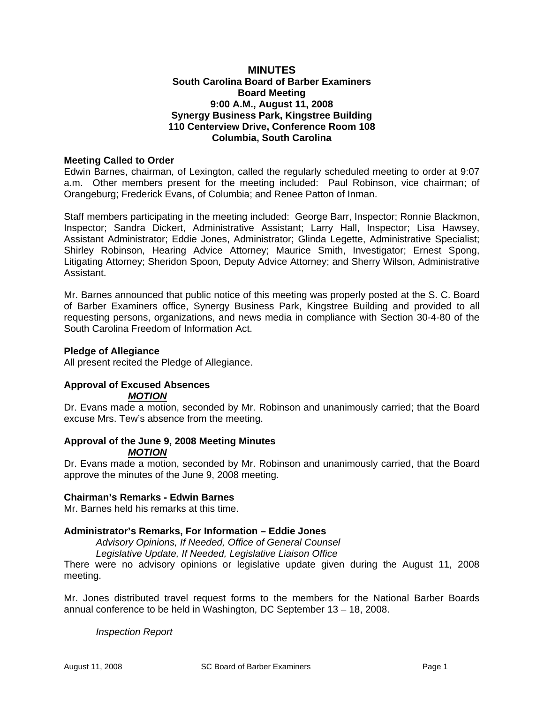## **MINUTES South Carolina Board of Barber Examiners Board Meeting 9:00 A.M., August 11, 2008 Synergy Business Park, Kingstree Building 110 Centerview Drive, Conference Room 108 Columbia, South Carolina**

## **Meeting Called to Order**

Edwin Barnes, chairman, of Lexington, called the regularly scheduled meeting to order at 9:07 a.m. Other members present for the meeting included: Paul Robinson, vice chairman; of Orangeburg; Frederick Evans, of Columbia; and Renee Patton of Inman.

Staff members participating in the meeting included: George Barr, Inspector; Ronnie Blackmon, Inspector; Sandra Dickert, Administrative Assistant; Larry Hall, Inspector; Lisa Hawsey, Assistant Administrator; Eddie Jones, Administrator; Glinda Legette, Administrative Specialist; Shirley Robinson, Hearing Advice Attorney; Maurice Smith, Investigator; Ernest Spong, Litigating Attorney; Sheridon Spoon, Deputy Advice Attorney; and Sherry Wilson, Administrative Assistant.

Mr. Barnes announced that public notice of this meeting was properly posted at the S. C. Board of Barber Examiners office, Synergy Business Park, Kingstree Building and provided to all requesting persons, organizations, and news media in compliance with Section 30-4-80 of the South Carolina Freedom of Information Act.

#### **Pledge of Allegiance**

All present recited the Pledge of Allegiance.

# **Approval of Excused Absences**

# *MOTION*

Dr. Evans made a motion, seconded by Mr. Robinson and unanimously carried; that the Board excuse Mrs. Tew's absence from the meeting.

# **Approval of the June 9, 2008 Meeting Minutes**

*MOTION*

Dr. Evans made a motion, seconded by Mr. Robinson and unanimously carried, that the Board approve the minutes of the June 9, 2008 meeting.

## **Chairman's Remarks - Edwin Barnes**

Mr. Barnes held his remarks at this time.

## **Administrator's Remarks, For Information – Eddie Jones**

*Advisory Opinions, If Needed, Office of General Counsel Legislative Update, If Needed, Legislative Liaison Office* 

There were no advisory opinions or legislative update given during the August 11, 2008 meeting.

Mr. Jones distributed travel request forms to the members for the National Barber Boards annual conference to be held in Washington, DC September 13 – 18, 2008.

*Inspection Report*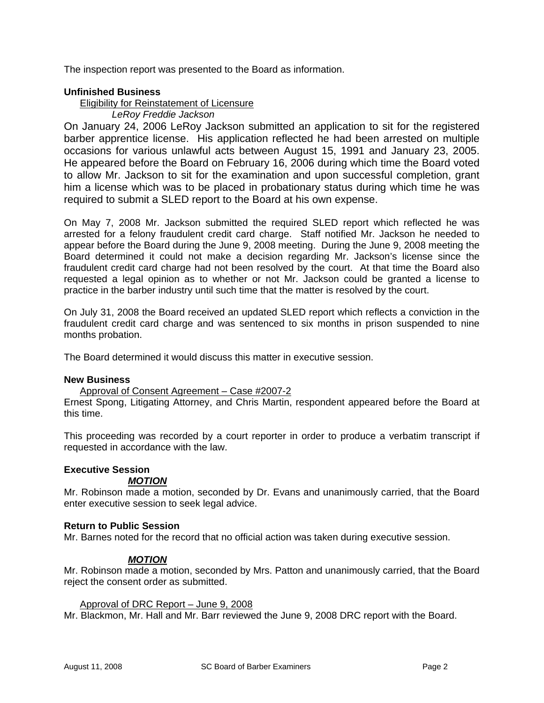The inspection report was presented to the Board as information.

## **Unfinished Business**

Eligibility for Reinstatement of Licensure

# *LeRoy Freddie Jackson*

On January 24, 2006 LeRoy Jackson submitted an application to sit for the registered barber apprentice license. His application reflected he had been arrested on multiple occasions for various unlawful acts between August 15, 1991 and January 23, 2005. He appeared before the Board on February 16, 2006 during which time the Board voted to allow Mr. Jackson to sit for the examination and upon successful completion, grant him a license which was to be placed in probationary status during which time he was required to submit a SLED report to the Board at his own expense.

On May 7, 2008 Mr. Jackson submitted the required SLED report which reflected he was arrested for a felony fraudulent credit card charge. Staff notified Mr. Jackson he needed to appear before the Board during the June 9, 2008 meeting. During the June 9, 2008 meeting the Board determined it could not make a decision regarding Mr. Jackson's license since the fraudulent credit card charge had not been resolved by the court. At that time the Board also requested a legal opinion as to whether or not Mr. Jackson could be granted a license to practice in the barber industry until such time that the matter is resolved by the court.

On July 31, 2008 the Board received an updated SLED report which reflects a conviction in the fraudulent credit card charge and was sentenced to six months in prison suspended to nine months probation.

The Board determined it would discuss this matter in executive session.

## **New Business**

Approval of Consent Agreement – Case #2007-2

Ernest Spong, Litigating Attorney, and Chris Martin, respondent appeared before the Board at this time.

This proceeding was recorded by a court reporter in order to produce a verbatim transcript if requested in accordance with the law.

## **Executive Session**

## *MOTION*

Mr. Robinson made a motion, seconded by Dr. Evans and unanimously carried, that the Board enter executive session to seek legal advice.

## **Return to Public Session**

Mr. Barnes noted for the record that no official action was taken during executive session.

# *MOTION*

Mr. Robinson made a motion, seconded by Mrs. Patton and unanimously carried, that the Board reject the consent order as submitted.

## Approval of DRC Report – June 9, 2008

Mr. Blackmon, Mr. Hall and Mr. Barr reviewed the June 9, 2008 DRC report with the Board.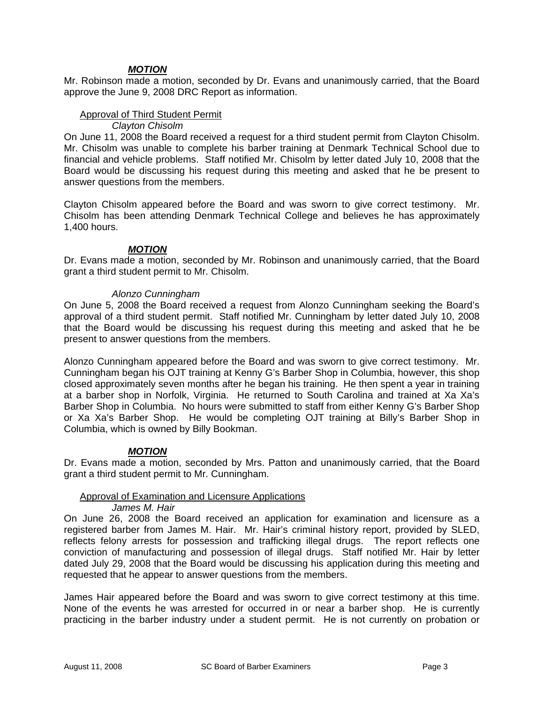# *MOTION*

Mr. Robinson made a motion, seconded by Dr. Evans and unanimously carried, that the Board approve the June 9, 2008 DRC Report as information.

## Approval of Third Student Permit

*Clayton Chisolm* 

On June 11, 2008 the Board received a request for a third student permit from Clayton Chisolm. Mr. Chisolm was unable to complete his barber training at Denmark Technical School due to financial and vehicle problems. Staff notified Mr. Chisolm by letter dated July 10, 2008 that the Board would be discussing his request during this meeting and asked that he be present to answer questions from the members.

Clayton Chisolm appeared before the Board and was sworn to give correct testimony. Mr. Chisolm has been attending Denmark Technical College and believes he has approximately 1,400 hours.

#### *MOTION*

Dr. Evans made a motion, seconded by Mr. Robinson and unanimously carried, that the Board grant a third student permit to Mr. Chisolm.

#### *Alonzo Cunningham*

On June 5, 2008 the Board received a request from Alonzo Cunningham seeking the Board's approval of a third student permit. Staff notified Mr. Cunningham by letter dated July 10, 2008 that the Board would be discussing his request during this meeting and asked that he be present to answer questions from the members.

Alonzo Cunningham appeared before the Board and was sworn to give correct testimony. Mr. Cunningham began his OJT training at Kenny G's Barber Shop in Columbia, however, this shop closed approximately seven months after he began his training. He then spent a year in training at a barber shop in Norfolk, Virginia. He returned to South Carolina and trained at Xa Xa's Barber Shop in Columbia. No hours were submitted to staff from either Kenny G's Barber Shop or Xa Xa's Barber Shop. He would be completing OJT training at Billy's Barber Shop in Columbia, which is owned by Billy Bookman.

## *MOTION*

Dr. Evans made a motion, seconded by Mrs. Patton and unanimously carried, that the Board grant a third student permit to Mr. Cunningham.

## Approval of Examination and Licensure Applications

*James M. Hair* 

On June 26, 2008 the Board received an application for examination and licensure as a registered barber from James M. Hair. Mr. Hair's criminal history report, provided by SLED, reflects felony arrests for possession and trafficking illegal drugs. The report reflects one conviction of manufacturing and possession of illegal drugs. Staff notified Mr. Hair by letter dated July 29, 2008 that the Board would be discussing his application during this meeting and requested that he appear to answer questions from the members.

James Hair appeared before the Board and was sworn to give correct testimony at this time. None of the events he was arrested for occurred in or near a barber shop. He is currently practicing in the barber industry under a student permit. He is not currently on probation or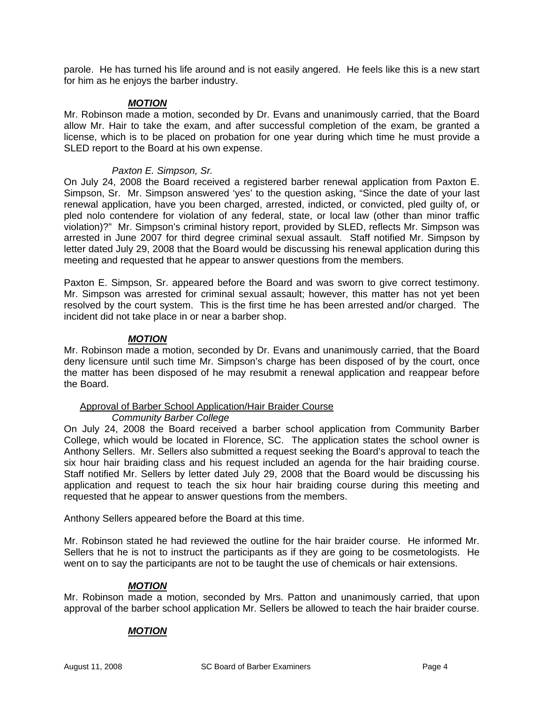parole. He has turned his life around and is not easily angered. He feels like this is a new start for him as he enjoys the barber industry.

## *MOTION*

Mr. Robinson made a motion, seconded by Dr. Evans and unanimously carried, that the Board allow Mr. Hair to take the exam, and after successful completion of the exam, be granted a license, which is to be placed on probation for one year during which time he must provide a SLED report to the Board at his own expense.

## *Paxton E. Simpson, Sr.*

On July 24, 2008 the Board received a registered barber renewal application from Paxton E. Simpson, Sr. Mr. Simpson answered 'yes' to the question asking, "Since the date of your last renewal application, have you been charged, arrested, indicted, or convicted, pled guilty of, or pled nolo contendere for violation of any federal, state, or local law (other than minor traffic violation)?" Mr. Simpson's criminal history report, provided by SLED, reflects Mr. Simpson was arrested in June 2007 for third degree criminal sexual assault. Staff notified Mr. Simpson by letter dated July 29, 2008 that the Board would be discussing his renewal application during this meeting and requested that he appear to answer questions from the members.

Paxton E. Simpson, Sr. appeared before the Board and was sworn to give correct testimony. Mr. Simpson was arrested for criminal sexual assault; however, this matter has not yet been resolved by the court system. This is the first time he has been arrested and/or charged. The incident did not take place in or near a barber shop.

## *MOTION*

Mr. Robinson made a motion, seconded by Dr. Evans and unanimously carried, that the Board deny licensure until such time Mr. Simpson's charge has been disposed of by the court, once the matter has been disposed of he may resubmit a renewal application and reappear before the Board.

# Approval of Barber School Application/Hair Braider Course

## *Community Barber College*

On July 24, 2008 the Board received a barber school application from Community Barber College, which would be located in Florence, SC. The application states the school owner is Anthony Sellers. Mr. Sellers also submitted a request seeking the Board's approval to teach the six hour hair braiding class and his request included an agenda for the hair braiding course. Staff notified Mr. Sellers by letter dated July 29, 2008 that the Board would be discussing his application and request to teach the six hour hair braiding course during this meeting and requested that he appear to answer questions from the members.

Anthony Sellers appeared before the Board at this time.

Mr. Robinson stated he had reviewed the outline for the hair braider course. He informed Mr. Sellers that he is not to instruct the participants as if they are going to be cosmetologists. He went on to say the participants are not to be taught the use of chemicals or hair extensions.

## *MOTION*

Mr. Robinson made a motion, seconded by Mrs. Patton and unanimously carried, that upon approval of the barber school application Mr. Sellers be allowed to teach the hair braider course.

## *MOTION*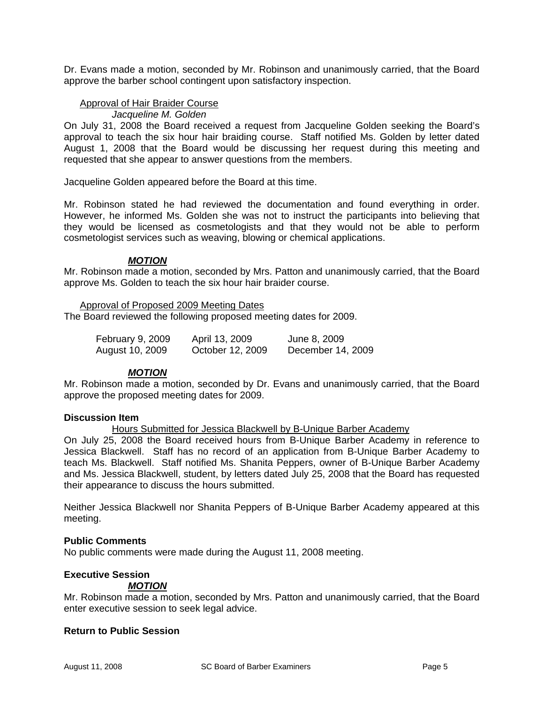Dr. Evans made a motion, seconded by Mr. Robinson and unanimously carried, that the Board approve the barber school contingent upon satisfactory inspection.

## Approval of Hair Braider Course

*Jacqueline M. Golden* 

On July 31, 2008 the Board received a request from Jacqueline Golden seeking the Board's approval to teach the six hour hair braiding course. Staff notified Ms. Golden by letter dated August 1, 2008 that the Board would be discussing her request during this meeting and requested that she appear to answer questions from the members.

Jacqueline Golden appeared before the Board at this time.

Mr. Robinson stated he had reviewed the documentation and found everything in order. However, he informed Ms. Golden she was not to instruct the participants into believing that they would be licensed as cosmetologists and that they would not be able to perform cosmetologist services such as weaving, blowing or chemical applications.

#### *MOTION*

Mr. Robinson made a motion, seconded by Mrs. Patton and unanimously carried, that the Board approve Ms. Golden to teach the six hour hair braider course.

Approval of Proposed 2009 Meeting Dates The Board reviewed the following proposed meeting dates for 2009.

| February 9, 2009 | April 13, 2009   | June 8, 2009      |
|------------------|------------------|-------------------|
| August 10, 2009  | October 12, 2009 | December 14, 2009 |

## *MOTION*

Mr. Robinson made a motion, seconded by Dr. Evans and unanimously carried, that the Board approve the proposed meeting dates for 2009.

#### **Discussion Item**

Hours Submitted for Jessica Blackwell by B-Unique Barber Academy

On July 25, 2008 the Board received hours from B-Unique Barber Academy in reference to Jessica Blackwell. Staff has no record of an application from B-Unique Barber Academy to teach Ms. Blackwell. Staff notified Ms. Shanita Peppers, owner of B-Unique Barber Academy and Ms. Jessica Blackwell, student, by letters dated July 25, 2008 that the Board has requested their appearance to discuss the hours submitted.

Neither Jessica Blackwell nor Shanita Peppers of B-Unique Barber Academy appeared at this meeting.

#### **Public Comments**

No public comments were made during the August 11, 2008 meeting.

## **Executive Session**

## *MOTION*

Mr. Robinson made a motion, seconded by Mrs. Patton and unanimously carried, that the Board enter executive session to seek legal advice.

#### **Return to Public Session**